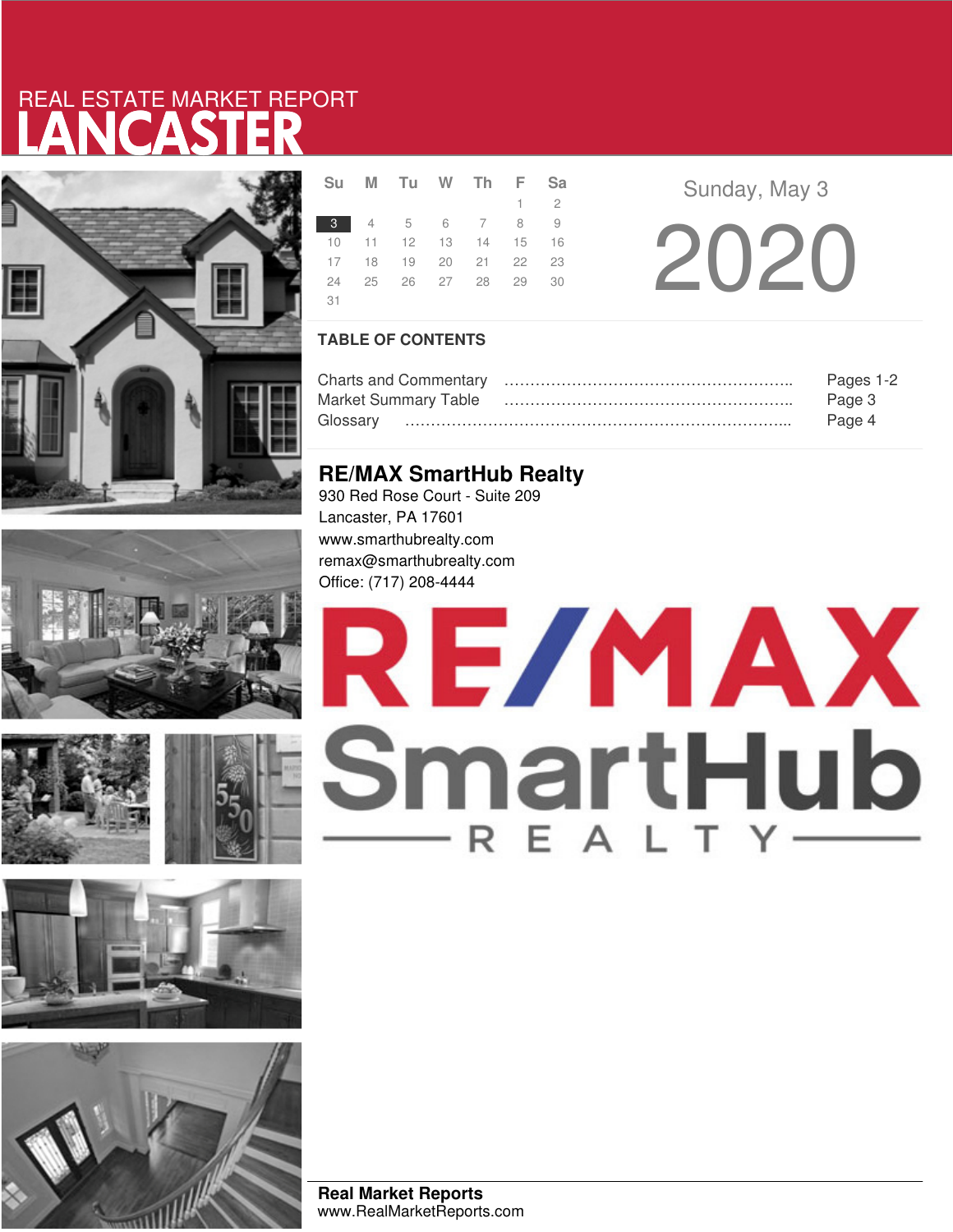# LANCASTER REAL ESTATE MARKET REPORT













|       | Su M Tu W Th F Sa    |  |             |  |
|-------|----------------------|--|-------------|--|
|       |                      |  | $1 \quad 2$ |  |
| $3 -$ | 4 5 6 7 8 9          |  |             |  |
| 10    | 11 12 13 14 15 16    |  |             |  |
|       | 17 18 19 20 21 22 23 |  |             |  |
| 24    | 25 26 27 28 29 30    |  |             |  |
| 31    |                      |  |             |  |

**Sunday, May 3** 20 20

## **TABLE OF CONTENTS**

|                             | Pages 1-2 |
|-----------------------------|-----------|
| <b>Market Summary Table</b> | Page 3    |
| Glossarv                    | Page 4    |

## **RE/MAX SmartHub Realty**

930 Red Rose Court - Suite 209 Lancaster, PA 17601 www.smarthubrealty.com remax@smarthubrealty.com Office: (717) 208-4444

# RE/MAX SmartHub

**Real Market Reports** www.RealMarketReports.com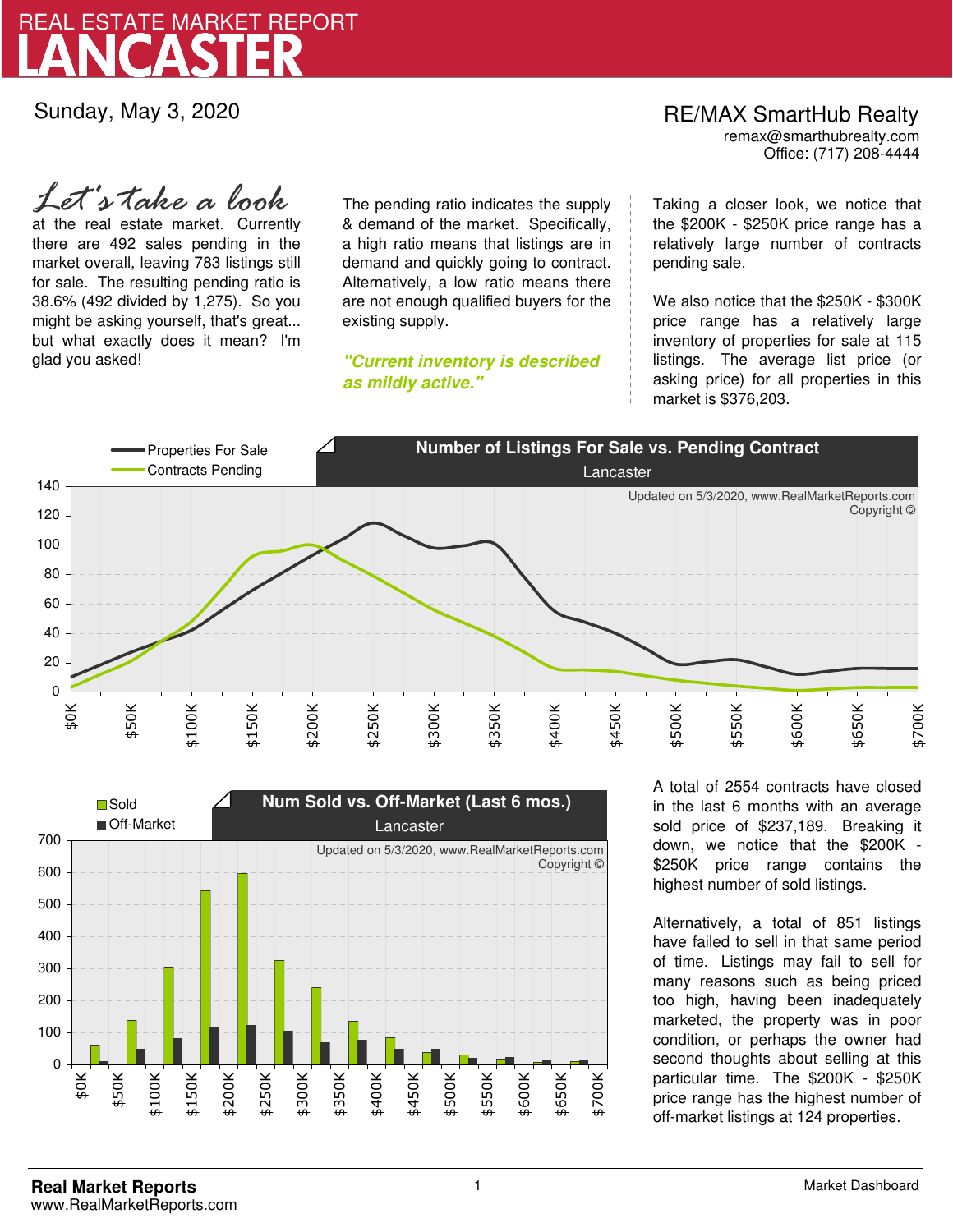

Sunday, May 3, 2020

### Office: (717) 208-4444 RE/MAX SmartHub Realty remax@smarthubrealty.com

at the real estate market. Currently there are 492 sales pending in the market overall, leaving 783 listings still for sale. The resulting pending ratio is 38.6% (492 divided by 1,275). So you might be asking yourself, that's great... but what exactly does it mean? I'm glad you asked! *Let's take a look*

The pending ratio indicates the supply & demand of the market. Specifically, a high ratio means that listings are in demand and quickly going to contract. Alternatively, a low ratio means there are not enough qualified buyers for the existing supply.

**"Current inventory is described as mildly active."**

Taking a closer look, we notice that the \$200K - \$250K price range has a relatively large number of contracts pending sale.

We also notice that the \$250K - \$300K price range has a relatively large inventory of properties for sale at 115 listings. The average list price (or asking price) for all properties in this market is \$376,203.





A total of 2554 contracts have closed in the last 6 months with an average sold price of \$237,189. Breaking it down, we notice that the \$200K - \$250K price range contains the highest number of sold listings.

Alternatively, a total of 851 listings have failed to sell in that same period of time. Listings may fail to sell for many reasons such as being priced too high, having been inadequately marketed, the property was in poor condition, or perhaps the owner had second thoughts about selling at this particular time. The \$200K - \$250K price range has the highest number of off-market listings at 124 properties.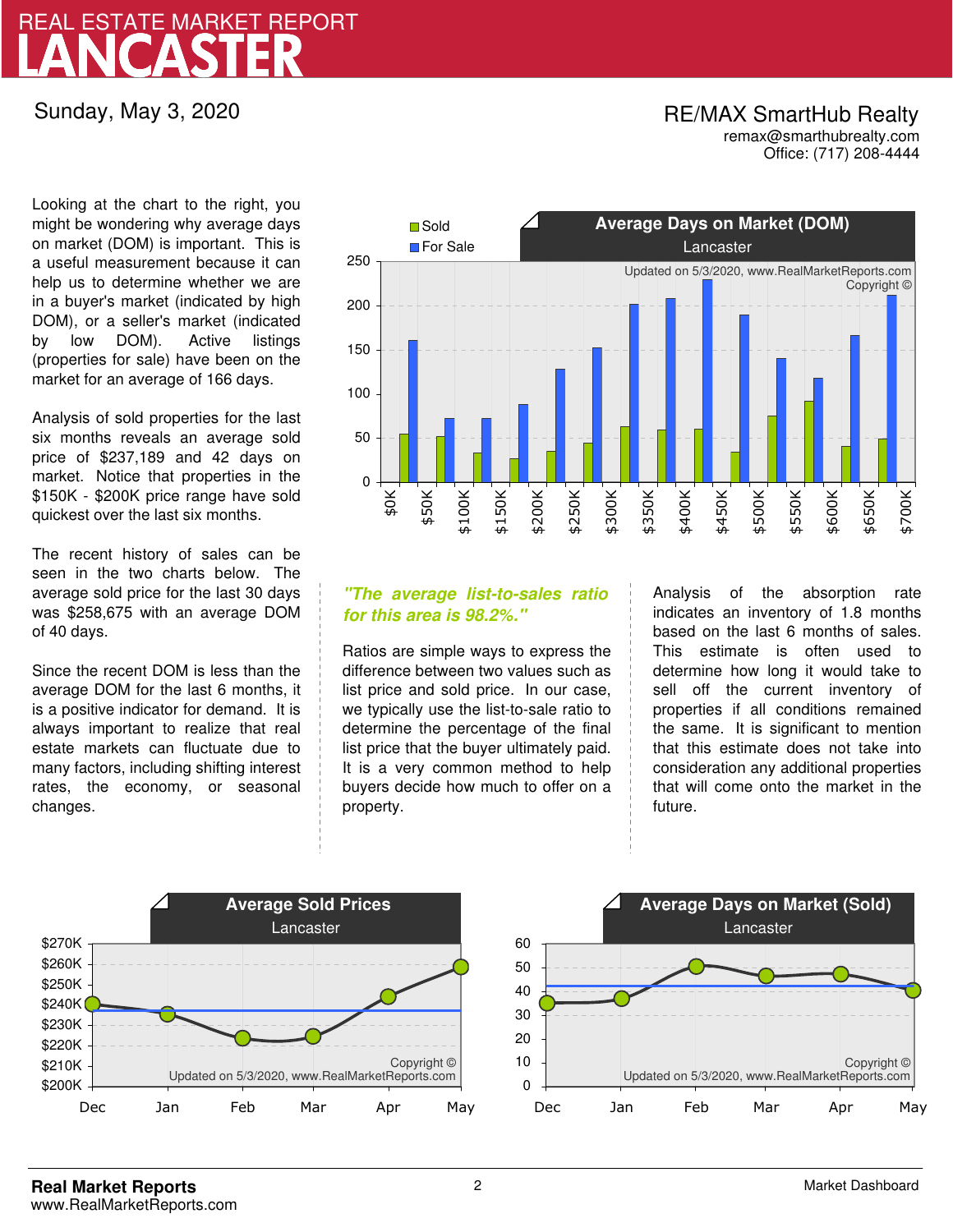## LANCASTER REAL ESTATE MARKET REPORT

Sunday, May 3, 2020

## RE/MAX SmartHub Realty remax@smarthubrealty.com

Office: (717) 208-4444

Looking at the chart to the right, you might be wondering why average days on market (DOM) is important. This is a useful measurement because it can help us to determine whether we are in a buyer's market (indicated by high DOM), or a seller's market (indicated by low DOM). Active listings (properties for sale) have been on the market for an average of 166 days.

Analysis of sold properties for the last six months reveals an average sold price of \$237,189 and 42 days on market. Notice that properties in the \$150K - \$200K price range have sold quickest over the last six months.

The recent history of sales can be seen in the two charts below. The average sold price for the last 30 days was \$258,675 with an average DOM of 40 days.

Since the recent DOM is less than the average DOM for the last 6 months, it is a positive indicator for demand. It is always important to realize that real estate markets can fluctuate due to many factors, including shifting interest rates, the economy, or seasonal changes.



## **"The average list-to-sales ratio for this area is 98.2%."**

Ratios are simple ways to express the difference between two values such as list price and sold price. In our case, we typically use the list-to-sale ratio to determine the percentage of the final list price that the buyer ultimately paid. It is a very common method to help buyers decide how much to offer on a property.

Analysis of the absorption rate indicates an inventory of 1.8 months based on the last 6 months of sales. This estimate is often used to determine how long it would take to sell off the current inventory of properties if all conditions remained the same. It is significant to mention that this estimate does not take into consideration any additional properties that will come onto the market in the future.



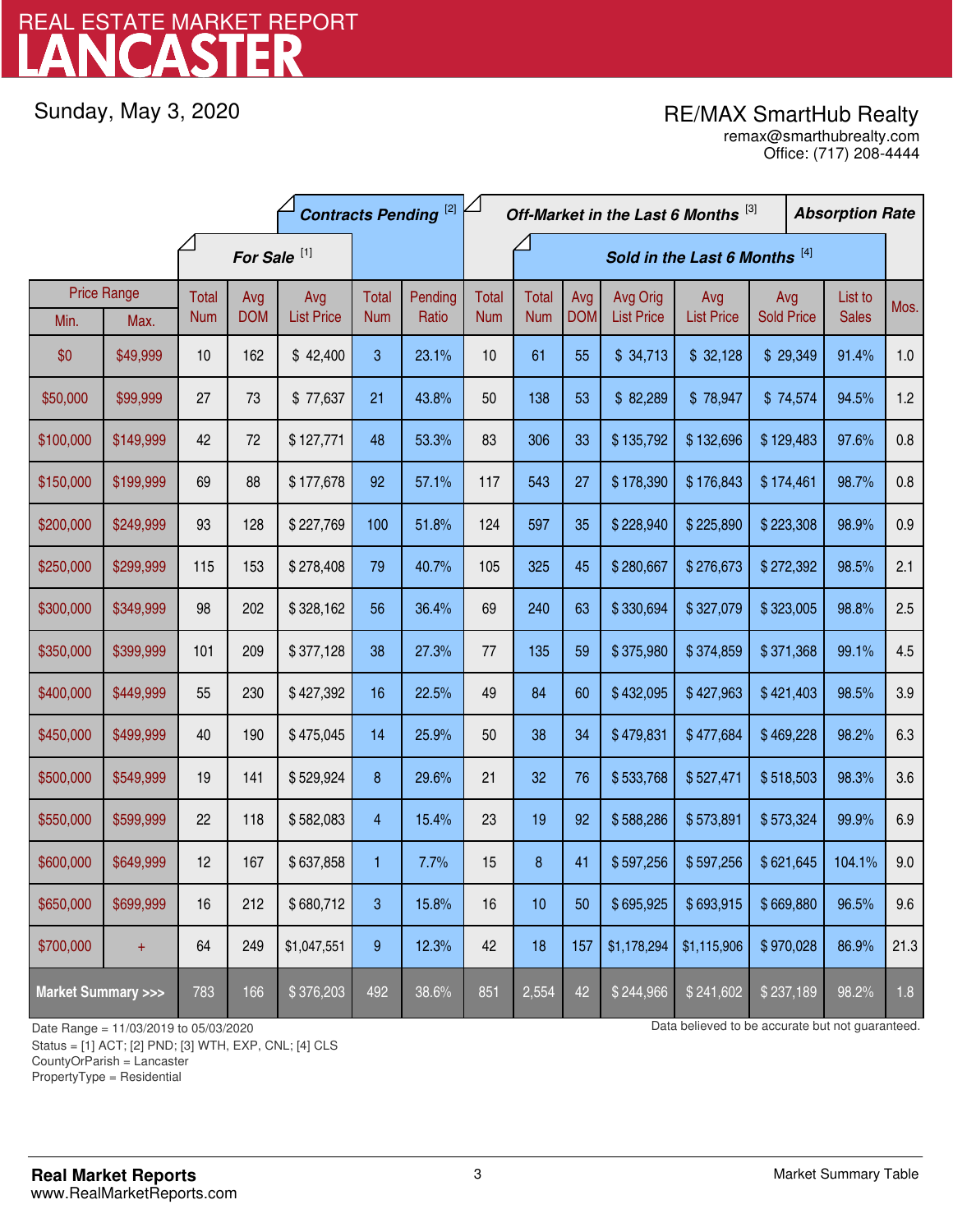# LANCASTER REAL ESTATE MARKET REPORT

Sunday, May 3, 2020

## RE/MAX SmartHub Realty

Office: (717) 208-4444 remax@smarthubrealty.com

|                                    |                    | <b>Contracts Pending</b> <sup>[2]</sup> |            |                   |              | Off-Market in the Last 6 Months [3] |              |              |            |                   | <b>Absorption Rate</b> |                   |  |              |      |
|------------------------------------|--------------------|-----------------------------------------|------------|-------------------|--------------|-------------------------------------|--------------|--------------|------------|-------------------|------------------------|-------------------|--|--------------|------|
|                                    |                    | For Sale <sup>[1]</sup>                 |            |                   |              | Sold in the Last 6 Months [4]       |              |              |            |                   |                        |                   |  |              |      |
|                                    | <b>Price Range</b> | Total                                   | Avg        | Avg               | <b>Total</b> | Pending                             | <b>Total</b> | <b>Total</b> | Avg        | Avg Orig          | Avg                    | Avg               |  | List to      | Mos. |
| Min.                               | Max.               | <b>Num</b>                              | <b>DOM</b> | <b>List Price</b> | <b>Num</b>   | Ratio                               | <b>Num</b>   | <b>Num</b>   | <b>DOM</b> | <b>List Price</b> | <b>List Price</b>      | <b>Sold Price</b> |  | <b>Sales</b> |      |
| \$0                                | \$49,999           | 10                                      | 162        | \$42,400          | 3            | 23.1%                               | 10           | 61           | 55         | \$34,713          | \$32,128               | \$29,349          |  | 91.4%        | 1.0  |
| \$50,000                           | \$99,999           | 27                                      | 73         | \$77,637          | 21           | 43.8%                               | 50           | 138          | 53         | \$82,289          | \$78,947               | \$74,574          |  | 94.5%        | 1.2  |
| \$100,000                          | \$149,999          | 42                                      | 72         | \$127,771         | 48           | 53.3%                               | 83           | 306          | 33         | \$135,792         | \$132,696              | \$129,483         |  | 97.6%        | 0.8  |
| \$150,000                          | \$199,999          | 69                                      | 88         | \$177,678         | 92           | 57.1%                               | 117          | 543          | 27         | \$178,390         | \$176,843              | \$174,461         |  | 98.7%        | 0.8  |
| \$200,000                          | \$249,999          | 93                                      | 128        | \$227,769         | 100          | 51.8%                               | 124          | 597          | 35         | \$228,940         | \$225,890              | \$223,308         |  | 98.9%        | 0.9  |
| \$250,000                          | \$299,999          | 115                                     | 153        | \$278,408         | 79           | 40.7%                               | 105          | 325          | 45         | \$280,667         | \$276,673              | \$272,392         |  | 98.5%        | 2.1  |
| \$300,000                          | \$349,999          | 98                                      | 202        | \$328,162         | 56           | 36.4%                               | 69           | 240          | 63         | \$330,694         | \$327,079              | \$323,005         |  | 98.8%        | 2.5  |
| \$350,000                          | \$399,999          | 101                                     | 209        | \$377,128         | 38           | 27.3%                               | 77           | 135          | 59         | \$375,980         | \$374,859              | \$371,368         |  | 99.1%        | 4.5  |
| \$400,000                          | \$449,999          | 55                                      | 230        | \$427,392         | 16           | 22.5%                               | 49           | 84           | 60         | \$432,095         | \$427,963              | \$421,403         |  | 98.5%        | 3.9  |
| \$450,000                          | \$499,999          | 40                                      | 190        | \$475,045         | 14           | 25.9%                               | 50           | 38           | 34         | \$479,831         | \$477,684              | \$469,228         |  | 98.2%        | 6.3  |
| \$500,000                          | \$549,999          | 19                                      | 141        | \$529,924         | 8            | 29.6%                               | 21           | 32           | 76         | \$533,768         | \$527,471              | \$518,503         |  | 98.3%        | 3.6  |
| \$550,000                          | \$599,999          | 22                                      | 118        | \$582,083         | 4            | 15.4%                               | 23           | 19           | 92         | \$588,286         | \$573,891              | \$573,324         |  | 99.9%        | 6.9  |
| \$600,000                          | \$649,999          | 12                                      | 167        | \$637,858         | 1            | 7.7%                                | 15           | 8            | 41         | \$597,256         | \$597,256              | \$621,645         |  | 104.1%       | 9.0  |
| \$650,000                          | \$699,999          | 16                                      | 212        | \$680,712         | 3            | 15.8%                               | 16           | 10           | 50         | \$695,925         | \$693,915              | \$669,880         |  | 96.5%        | 9.6  |
| \$700,000                          | $\ddot{}$          | 64                                      | 249        | \$1,047,551       | 9            | 12.3%                               | 42           | 18           | 157        | \$1,178,294       | \$1,115,906            | \$970,028         |  | 86.9%        | 21.3 |
| <b>Market Summary &gt;&gt;&gt;</b> |                    | 783                                     | 166        | \$376,203         | 492          | 38.6%                               | 851          | 2,554        | 42         | \$244,966         | \$241,602              | \$237,189         |  | 98.2%        | 1.8  |

Status = [1] ACT; [2] PND; [3] WTH, EXP, CNL; [4] CLS

CountyOrParish = Lancaster

PropertyType = Residential

1

Date Range = 11/03/2019 to 05/03/2020 Data believed to be accurate but not guaranteed.